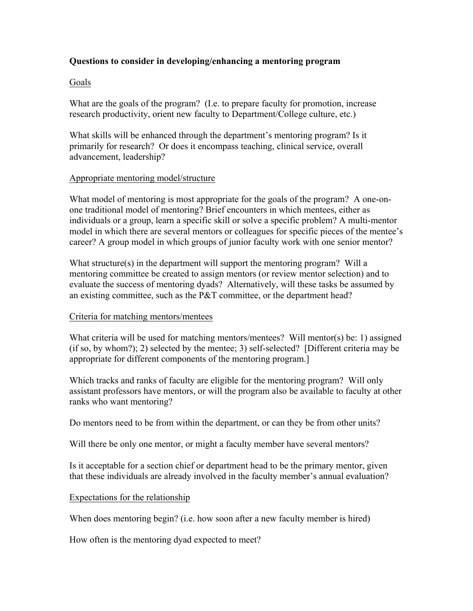# **Questions to consider in developing/enhancing a mentoring program**

### Goals

What are the goals of the program? (I.e. to prepare faculty for promotion, increase research productivity, orient new faculty to Department/College culture, etc.)

What skills will be enhanced through the department's mentoring program? Is it primarily for research? Or does it encompass teaching, clinical service, overall advancement, leadership?

#### Appropriate mentoring model/structure

What model of mentoring is most appropriate for the goals of the program? A one-onone traditional model of mentoring? Brief encounters in which mentees, either as individuals or a group, learn a specific skill or solve a specific problem? A multi-mentor model in which there are several mentors or colleagues for specific pieces of the mentee's career? A group model in which groups of junior faculty work with one senior mentor?

What structure(s) in the department will support the mentoring program? Will a mentoring committee be created to assign mentors (or review mentor selection) and to evaluate the success of mentoring dyads? Alternatively, will these tasks be assumed by an existing committee, such as the P&T committee, or the department head?

### Criteria for matching mentors/mentees

What criteria will be used for matching mentors/mentees? Will mentor(s) be: 1) assigned (if so, by whom?); 2) selected by the mentee; 3) self-selected? [Different criteria may be appropriate for different components of the mentoring program.]

Which tracks and ranks of faculty are eligible for the mentoring program? Will only assistant professors have mentors, or will the program also be available to faculty at other ranks who want mentoring?

Do mentors need to be from within the department, or can they be from other units?

Will there be only one mentor, or might a faculty member have several mentors?

Is it acceptable for a section chief or department head to be the primary mentor, given that these individuals are already involved in the faculty member's annual evaluation?

### Expectations for the relationship

When does mentoring begin? (i.e. how soon after a new faculty member is hired)

How often is the mentoring dyad expected to meet?